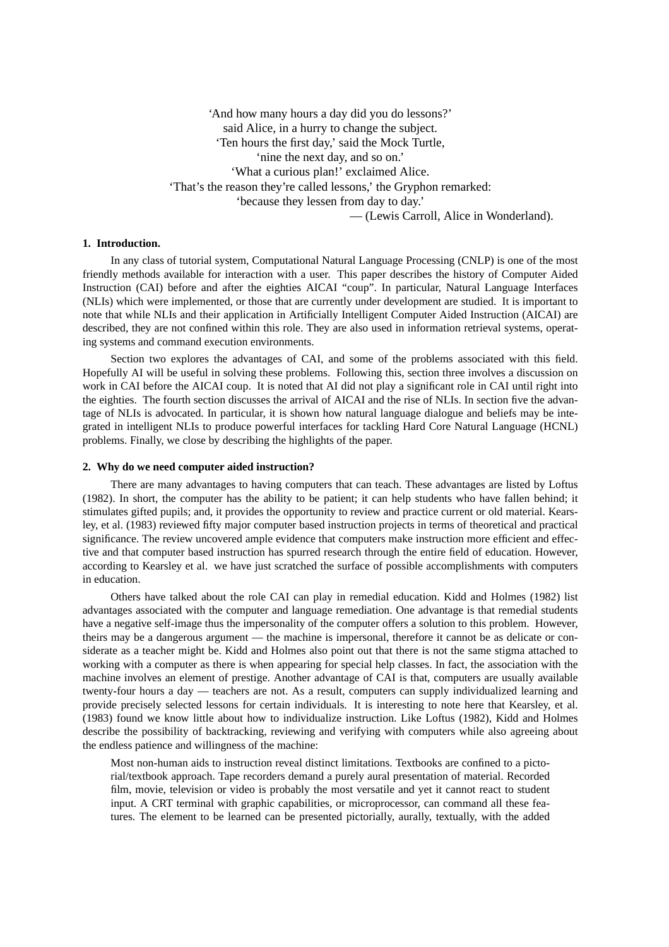'And how many hours a day did you do lessons?' said Alice, in a hurry to change the subject. 'Ten hours the first day,' said the Mock Turtle, 'nine the next day, and so on.' 'What a curious plan!' exclaimed Alice. 'That's the reason they're called lessons,' the Gryphon remarked: 'because they lessen from day to day.' — (Lewis Carroll, Alice in Wonderland).

# **1. Introduction.**

In any class of tutorial system, Computational Natural Language Processing (CNLP) is one of the most friendly methods available for interaction with a user. This paper describes the history of Computer Aided Instruction (CAI) before and after the eighties AICAI "coup". In particular, Natural Language Interfaces (NLIs) which were implemented, or those that are currently under development are studied. It is important to note that while NLIs and their application in Artificially Intelligent Computer Aided Instruction (AICAI) are described, they are not confined within this role. They are also used in information retrieval systems, operating systems and command execution environments.

Section two explores the advantages of CAI, and some of the problems associated with this field. Hopefully AI will be useful in solving these problems. Following this, section three involves a discussion on work in CAI before the AICAI coup. It is noted that AI did not play a significant role in CAI until right into the eighties. The fourth section discusses the arrival of AICAI and the rise of NLIs. In section five the advantage of NLIs is advocated. In particular, it is shown how natural language dialogue and beliefs may be integrated in intelligent NLIs to produce powerful interfaces for tackling Hard Core Natural Language (HCNL) problems. Finally, we close by describing the highlights of the paper.

#### **2. Why do we need computer aided instruction?**

There are many advantages to having computers that can teach. These advantages are listed by Loftus (1982). In short, the computer has the ability to be patient; it can help students who have fallen behind; it stimulates gifted pupils; and, it provides the opportunity to review and practice current or old material. Kearsley, et al. (1983) reviewed fifty major computer based instruction projects in terms of theoretical and practical significance. The review uncovered ample evidence that computers make instruction more efficient and effective and that computer based instruction has spurred research through the entire field of education. However, according to Kearsley et al. we have just scratched the surface of possible accomplishments with computers in education.

Others have talked about the role CAI can play in remedial education. Kidd and Holmes (1982) list advantages associated with the computer and language remediation. One advantage is that remedial students have a negative self-image thus the impersonality of the computer offers a solution to this problem. However, theirs may be a dangerous argument — the machine is impersonal, therefore it cannot be as delicate or considerate as a teacher might be. Kidd and Holmes also point out that there is not the same stigma attached to working with a computer as there is when appearing for special help classes. In fact, the association with the machine involves an element of prestige. Another advantage of CAI is that, computers are usually available twenty-four hours a day — teachers are not. As a result, computers can supply individualized learning and provide precisely selected lessons for certain individuals. It is interesting to note here that Kearsley, et al. (1983) found we know little about how to individualize instruction. Like Loftus (1982), Kidd and Holmes describe the possibility of backtracking, reviewing and verifying with computers while also agreeing about the endless patience and willingness of the machine:

Most non-human aids to instruction reveal distinct limitations. Textbooks are confined to a pictorial/textbook approach. Tape recorders demand a purely aural presentation of material. Recorded film, movie, television or video is probably the most versatile and yet it cannot react to student input. A CRT terminal with graphic capabilities, or microprocessor, can command all these features. The element to be learned can be presented pictorially, aurally, textually, with the added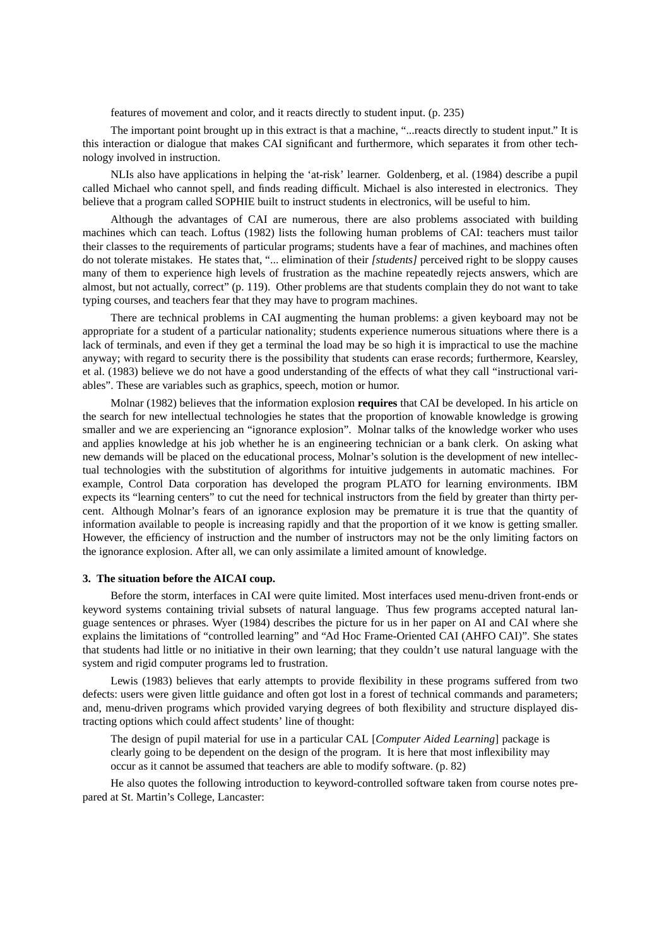features of movement and color, and it reacts directly to student input. (p. 235)

The important point brought up in this extract is that a machine, "...reacts directly to student input." It is this interaction or dialogue that makes CAI significant and furthermore, which separates it from other technology involved in instruction.

NLIs also have applications in helping the 'at-risk' learner. Goldenberg, et al. (1984) describe a pupil called Michael who cannot spell, and finds reading difficult. Michael is also interested in electronics. They believe that a program called SOPHIE built to instruct students in electronics, will be useful to him.

Although the advantages of CAI are numerous, there are also problems associated with building machines which can teach. Loftus (1982) lists the following human problems of CAI: teachers must tailor their classes to the requirements of particular programs; students have a fear of machines, and machines often do not tolerate mistakes. He states that, "... elimination of their *[students]* perceived right to be sloppy causes many of them to experience high levels of frustration as the machine repeatedly rejects answers, which are almost, but not actually, correct" (p. 119). Other problems are that students complain they do not want to take typing courses, and teachers fear that they may have to program machines.

There are technical problems in CAI augmenting the human problems: a given keyboard may not be appropriate for a student of a particular nationality; students experience numerous situations where there is a lack of terminals, and even if they get a terminal the load may be so high it is impractical to use the machine anyway; with regard to security there is the possibility that students can erase records; furthermore, Kearsley, et al. (1983) believe we do not have a good understanding of the effects of what they call "instructional variables". These are variables such as graphics, speech, motion or humor.

Molnar (1982) believes that the information explosion **requires** that CAI be developed. In his article on the search for new intellectual technologies he states that the proportion of knowable knowledge is growing smaller and we are experiencing an "ignorance explosion". Molnar talks of the knowledge worker who uses and applies knowledge at his job whether he is an engineering technician or a bank clerk. On asking what new demands will be placed on the educational process, Molnar's solution is the development of new intellectual technologies with the substitution of algorithms for intuitive judgements in automatic machines. For example, Control Data corporation has developed the program PLATO for learning environments. IBM expects its "learning centers" to cut the need for technical instructors from the field by greater than thirty percent. Although Molnar's fears of an ignorance explosion may be premature it is true that the quantity of information available to people is increasing rapidly and that the proportion of it we know is getting smaller. However, the efficiency of instruction and the number of instructors may not be the only limiting factors on the ignorance explosion. After all, we can only assimilate a limited amount of knowledge.

# **3. The situation before the AICAI coup.**

Before the storm, interfaces in CAI were quite limited. Most interfaces used menu-driven front-ends or keyword systems containing trivial subsets of natural language. Thus few programs accepted natural language sentences or phrases. Wyer (1984) describes the picture for us in her paper on AI and CAI where she explains the limitations of "controlled learning" and "Ad Hoc Frame-Oriented CAI (AHFO CAI)". She states that students had little or no initiative in their own learning; that they couldn't use natural language with the system and rigid computer programs led to frustration.

Lewis (1983) believes that early attempts to provide flexibility in these programs suffered from two defects: users were given little guidance and often got lost in a forest of technical commands and parameters; and, menu-driven programs which provided varying degrees of both flexibility and structure displayed distracting options which could affect students' line of thought:

The design of pupil material for use in a particular CAL [*Computer Aided Learning*] package is clearly going to be dependent on the design of the program. It is here that most inflexibility may occur as it cannot be assumed that teachers are able to modify software. (p. 82)

He also quotes the following introduction to keyword-controlled software taken from course notes prepared at St. Martin's College, Lancaster: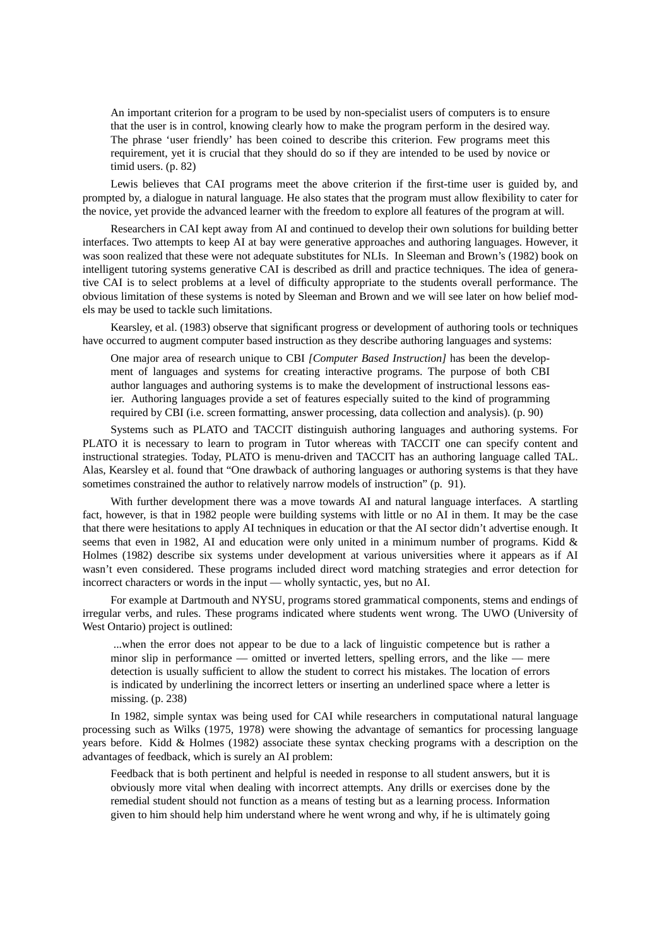An important criterion for a program to be used by non-specialist users of computers is to ensure that the user is in control, knowing clearly how to make the program perform in the desired way. The phrase 'user friendly' has been coined to describe this criterion. Few programs meet this requirement, yet it is crucial that they should do so if they are intended to be used by novice or timid users. (p. 82)

Lewis believes that CAI programs meet the above criterion if the first-time user is guided by, and prompted by, a dialogue in natural language. He also states that the program must allow flexibility to cater for the novice, yet provide the advanced learner with the freedom to explore all features of the program at will.

Researchers in CAI kept away from AI and continued to develop their own solutions for building better interfaces. Two attempts to keep AI at bay were generative approaches and authoring languages. However, it was soon realized that these were not adequate substitutes for NLIs. In Sleeman and Brown's (1982) book on intelligent tutoring systems generative CAI is described as drill and practice techniques. The idea of generative CAI is to select problems at a level of difficulty appropriate to the students overall performance. The obvious limitation of these systems is noted by Sleeman and Brown and we will see later on how belief models may be used to tackle such limitations.

Kearsley, et al. (1983) observe that significant progress or development of authoring tools or techniques have occurred to augment computer based instruction as they describe authoring languages and systems:

One major area of research unique to CBI *[Computer Based Instruction]* has been the development of languages and systems for creating interactive programs. The purpose of both CBI author languages and authoring systems is to make the development of instructional lessons easier. Authoring languages provide a set of features especially suited to the kind of programming required by CBI (i.e. screen formatting, answer processing, data collection and analysis). (p. 90)

Systems such as PLATO and TACCIT distinguish authoring languages and authoring systems. For PLATO it is necessary to learn to program in Tutor whereas with TACCIT one can specify content and instructional strategies. Today, PLATO is menu-driven and TACCIT has an authoring language called TAL. Alas, Kearsley et al. found that "One drawback of authoring languages or authoring systems is that they have sometimes constrained the author to relatively narrow models of instruction" (p. 91).

With further development there was a move towards AI and natural language interfaces. A startling fact, however, is that in 1982 people were building systems with little or no AI in them. It may be the case that there were hesitations to apply AI techniques in education or that the AI sector didn't advertise enough. It seems that even in 1982, AI and education were only united in a minimum number of programs. Kidd & Holmes (1982) describe six systems under development at various universities where it appears as if AI wasn't even considered. These programs included direct word matching strategies and error detection for incorrect characters or words in the input — wholly syntactic, yes, but no AI.

For example at Dartmouth and NYSU, programs stored grammatical components, stems and endings of irregular verbs, and rules. These programs indicated where students went wrong. The UWO (University of West Ontario) project is outlined:

...when the error does not appear to be due to a lack of linguistic competence but is rather a minor slip in performance — omitted or inverted letters, spelling errors, and the like—mere detection is usually sufficient to allow the student to correct his mistakes. The location of errors is indicated by underlining the incorrect letters or inserting an underlined space where a letter is missing. (p. 238)

In 1982, simple syntax was being used for CAI while researchers in computational natural language processing such as Wilks (1975, 1978) were showing the advantage of semantics for processing language years before. Kidd & Holmes (1982) associate these syntax checking programs with a description on the advantages of feedback, which is surely an AI problem:

Feedback that is both pertinent and helpful is needed in response to all student answers, but it is obviously more vital when dealing with incorrect attempts. Any drills or exercises done by the remedial student should not function as a means of testing but as a learning process. Information given to him should help him understand where he went wrong and why, if he is ultimately going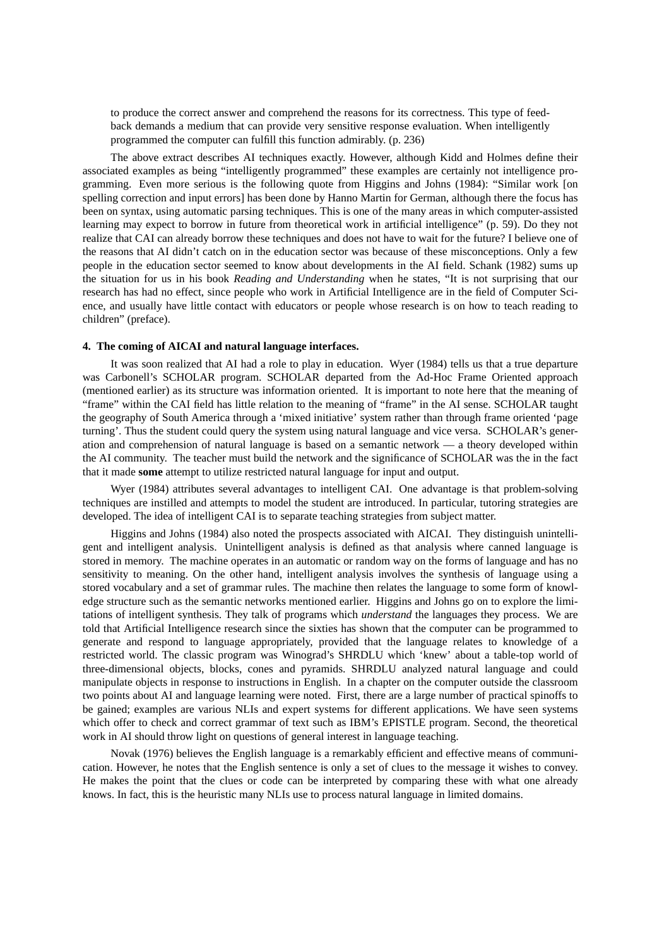to produce the correct answer and comprehend the reasons for its correctness. This type of feedback demands a medium that can provide very sensitive response evaluation. When intelligently programmed the computer can fulfill this function admirably. (p. 236)

The above extract describes AI techniques exactly. However, although Kidd and Holmes define their associated examples as being "intelligently programmed" these examples are certainly not intelligence programming. Even more serious is the following quote from Higgins and Johns (1984): "Similar work [on spelling correction and input errors] has been done by Hanno Martin for German, although there the focus has been on syntax, using automatic parsing techniques. This is one of the many areas in which computer-assisted learning may expect to borrow in future from theoretical work in artificial intelligence" (p. 59). Do they not realize that CAI can already borrow these techniques and does not have to wait for the future? I believe one of the reasons that AI didn't catch on in the education sector was because of these misconceptions. Only a few people in the education sector seemed to know about developments in the AI field. Schank (1982) sums up the situation for us in his book *Reading and Understanding* when he states, "It is not surprising that our research has had no effect, since people who work in Artificial Intelligence are in the field of Computer Science, and usually have little contact with educators or people whose research is on how to teach reading to children" (preface).

#### **4. The coming of AICAI and natural language interfaces.**

It was soon realized that AI had a role to play in education. Wyer (1984) tells us that a true departure was Carbonell's SCHOLAR program. SCHOLAR departed from the Ad-Hoc Frame Oriented approach (mentioned earlier) as its structure was information oriented. It is important to note here that the meaning of "frame" within the CAI field has little relation to the meaning of "frame" in the AI sense. SCHOLAR taught the geography of South America through a 'mixed initiative' system rather than through frame oriented 'page turning'. Thus the student could query the system using natural language and vice versa. SCHOLAR's generation and comprehension of natural language is based on a semantic network — a theory developed within the AI community. The teacher must build the network and the significance of SCHOLAR was the in the fact that it made **some** attempt to utilize restricted natural language for input and output.

Wyer (1984) attributes several advantages to intelligent CAI. One advantage is that problem-solving techniques are instilled and attempts to model the student are introduced. In particular, tutoring strategies are developed. The idea of intelligent CAI is to separate teaching strategies from subject matter.

Higgins and Johns (1984) also noted the prospects associated with AICAI. They distinguish unintelligent and intelligent analysis. Unintelligent analysis is defined as that analysis where canned language is stored in memory. The machine operates in an automatic or random way on the forms of language and has no sensitivity to meaning. On the other hand, intelligent analysis involves the synthesis of language using a stored vocabulary and a set of grammar rules. The machine then relates the language to some form of knowledge structure such as the semantic networks mentioned earlier. Higgins and Johns go on to explore the limitations of intelligent synthesis. They talk of programs which *understand* the languages they process. We are told that Artificial Intelligence research since the sixties has shown that the computer can be programmed to generate and respond to language appropriately, provided that the language relates to knowledge of a restricted world. The classic program was Winograd's SHRDLU which 'knew' about a table-top world of three-dimensional objects, blocks, cones and pyramids. SHRDLU analyzed natural language and could manipulate objects in response to instructions in English. In a chapter on the computer outside the classroom two points about AI and language learning were noted. First, there are a large number of practical spinoffs to be gained; examples are various NLIs and expert systems for different applications. We have seen systems which offer to check and correct grammar of text such as IBM's EPISTLE program. Second, the theoretical work in AI should throw light on questions of general interest in language teaching.

Novak (1976) believes the English language is a remarkably efficient and effective means of communication. However, he notes that the English sentence is only a set of clues to the message it wishes to convey. He makes the point that the clues or code can be interpreted by comparing these with what one already knows. In fact, this is the heuristic many NLIs use to process natural language in limited domains.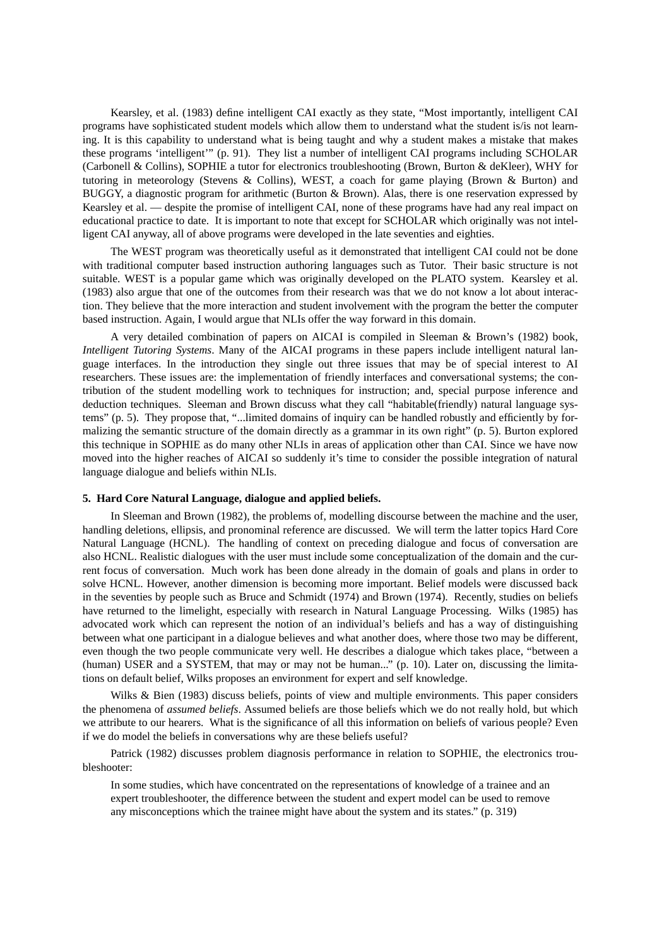Kearsley, et al. (1983) define intelligent CAI exactly as they state, "Most importantly, intelligent CAI programs have sophisticated student models which allow them to understand what the student is/is not learning. It is this capability to understand what is being taught and why a student makes a mistake that makes these programs 'intelligent'" (p. 91). They list a number of intelligent CAI programs including SCHOLAR (Carbonell & Collins), SOPHIE a tutor for electronics troubleshooting (Brown, Burton & deKleer), WHY for tutoring in meteorology (Stevens & Collins), WEST, a coach for game playing (Brown & Burton) and BUGGY, a diagnostic program for arithmetic (Burton & Brown). Alas, there is one reservation expressed by Kearsley et al. — despite the promise of intelligent CAI, none of these programs have had any real impact on educational practice to date. It is important to note that except for SCHOLAR which originally was not intelligent CAI anyway, all of above programs were developed in the late seventies and eighties.

The WEST program was theoretically useful as it demonstrated that intelligent CAI could not be done with traditional computer based instruction authoring languages such as Tutor. Their basic structure is not suitable. WEST is a popular game which was originally developed on the PLATO system. Kearsley et al. (1983) also argue that one of the outcomes from their research was that we do not know a lot about interaction. They believe that the more interaction and student involvement with the program the better the computer based instruction. Again, I would argue that NLIs offer the way forward in this domain.

A very detailed combination of papers on AICAI is compiled in Sleeman & Brown's (1982) book, *Intelligent Tutoring Systems*. Many of the AICAI programs in these papers include intelligent natural language interfaces. In the introduction they single out three issues that may be of special interest to AI researchers. These issues are: the implementation of friendly interfaces and conversational systems; the contribution of the student modelling work to techniques for instruction; and, special purpose inference and deduction techniques. Sleeman and Brown discuss what they call "habitable(friendly) natural language systems" (p. 5). They propose that, "...limited domains of inquiry can be handled robustly and efficiently by formalizing the semantic structure of the domain directly as a grammar in its own right" (p. 5). Burton explored this technique in SOPHIE as do many other NLIs in areas of application other than CAI. Since we have now moved into the higher reaches of AICAI so suddenly it's time to consider the possible integration of natural language dialogue and beliefs within NLIs.

## **5. Hard Core Natural Language, dialogue and applied beliefs.**

In Sleeman and Brown (1982), the problems of, modelling discourse between the machine and the user, handling deletions, ellipsis, and pronominal reference are discussed. We will term the latter topics Hard Core Natural Language (HCNL). The handling of context on preceding dialogue and focus of conversation are also HCNL. Realistic dialogues with the user must include some conceptualization of the domain and the current focus of conversation. Much work has been done already in the domain of goals and plans in order to solve HCNL. However, another dimension is becoming more important. Belief models were discussed back in the seventies by people such as Bruce and Schmidt (1974) and Brown (1974). Recently, studies on beliefs have returned to the limelight, especially with research in Natural Language Processing. Wilks (1985) has advocated work which can represent the notion of an individual's beliefs and has a way of distinguishing between what one participant in a dialogue believes and what another does, where those two may be different, even though the two people communicate very well. He describes a dialogue which takes place, "between a (human) USER and a SYSTEM, that may or may not be human..." (p. 10). Later on, discussing the limitations on default belief, Wilks proposes an environment for expert and self knowledge.

Wilks & Bien (1983) discuss beliefs, points of view and multiple environments. This paper considers the phenomena of *assumed beliefs*. Assumed beliefs are those beliefs which we do not really hold, but which we attribute to our hearers. What is the significance of all this information on beliefs of various people? Even if we do model the beliefs in conversations why are these beliefs useful?

Patrick (1982) discusses problem diagnosis performance in relation to SOPHIE, the electronics troubleshooter:

In some studies, which have concentrated on the representations of knowledge of a trainee and an expert troubleshooter, the difference between the student and expert model can be used to remove any misconceptions which the trainee might have about the system and its states." (p. 319)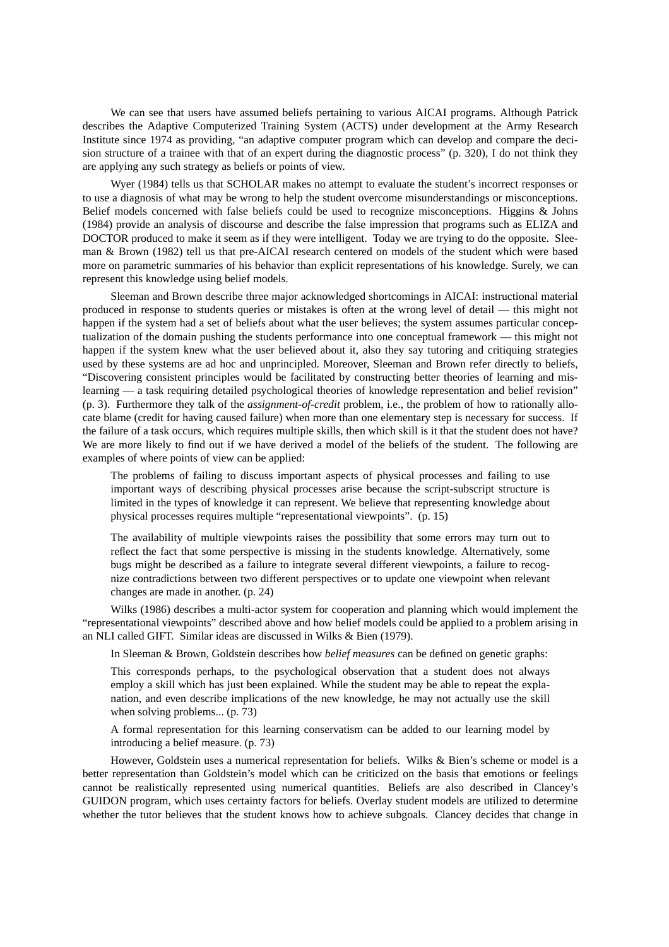We can see that users have assumed beliefs pertaining to various AICAI programs. Although Patrick describes the Adaptive Computerized Training System (ACTS) under development at the Army Research Institute since 1974 as providing, "an adaptive computer program which can develop and compare the decision structure of a trainee with that of an expert during the diagnostic process" (p. 320), I do not think they are applying any such strategy as beliefs or points of view.

Wyer (1984) tells us that SCHOLAR makes no attempt to evaluate the student's incorrect responses or to use a diagnosis of what may be wrong to help the student overcome misunderstandings or misconceptions. Belief models concerned with false beliefs could be used to recognize misconceptions. Higgins & Johns (1984) provide an analysis of discourse and describe the false impression that programs such as ELIZA and DOCTOR produced to make it seem as if they were intelligent. Today we are trying to do the opposite. Sleeman & Brown (1982) tell us that pre-AICAI research centered on models of the student which were based more on parametric summaries of his behavior than explicit representations of his knowledge. Surely, we can represent this knowledge using belief models.

Sleeman and Brown describe three major acknowledged shortcomings in AICAI: instructional material produced in response to students queries or mistakes is often at the wrong level of detail — this might not happen if the system had a set of beliefs about what the user believes; the system assumes particular conceptualization of the domain pushing the students performance into one conceptual framework — this might not happen if the system knew what the user believed about it, also they say tutoring and critiquing strategies used by these systems are ad hoc and unprincipled. Moreover, Sleeman and Brown refer directly to beliefs, "Discovering consistent principles would be facilitated by constructing better theories of learning and mislearning — a task requiring detailed psychological theories of knowledge representation and belief revision" (p. 3). Furthermore they talk of the *assignment-of-credit* problem, i.e., the problem of how to rationally allocate blame (credit for having caused failure) when more than one elementary step is necessary for success. If the failure of a task occurs, which requires multiple skills, then which skill is it that the student does not have? We are more likely to find out if we have derived a model of the beliefs of the student. The following are examples of where points of view can be applied:

The problems of failing to discuss important aspects of physical processes and failing to use important ways of describing physical processes arise because the script-subscript structure is limited in the types of knowledge it can represent. We believe that representing knowledge about physical processes requires multiple "representational viewpoints". (p. 15)

The availability of multiple viewpoints raises the possibility that some errors may turn out to reflect the fact that some perspective is missing in the students knowledge. Alternatively, some bugs might be described as a failure to integrate several different viewpoints, a failure to recognize contradictions between two different perspectives or to update one viewpoint when relevant changes are made in another. (p. 24)

Wilks (1986) describes a multi-actor system for cooperation and planning which would implement the "representational viewpoints" described above and how belief models could be applied to a problem arising in an NLI called GIFT. Similar ideas are discussed in Wilks & Bien (1979).

In Sleeman & Brown, Goldstein describes how *belief measures* can be defined on genetic graphs:

This corresponds perhaps, to the psychological observation that a student does not always employ a skill which has just been explained. While the student may be able to repeat the explanation, and even describe implications of the new knowledge, he may not actually use the skill when solving problems... (p. 73)

A formal representation for this learning conservatism can be added to our learning model by introducing a belief measure. (p. 73)

However, Goldstein uses a numerical representation for beliefs. Wilks & Bien's scheme or model is a better representation than Goldstein's model which can be criticized on the basis that emotions or feelings cannot be realistically represented using numerical quantities. Beliefs are also described in Clancey's GUIDON program, which uses certainty factors for beliefs. Overlay student models are utilized to determine whether the tutor believes that the student knows how to achieve subgoals. Clancey decides that change in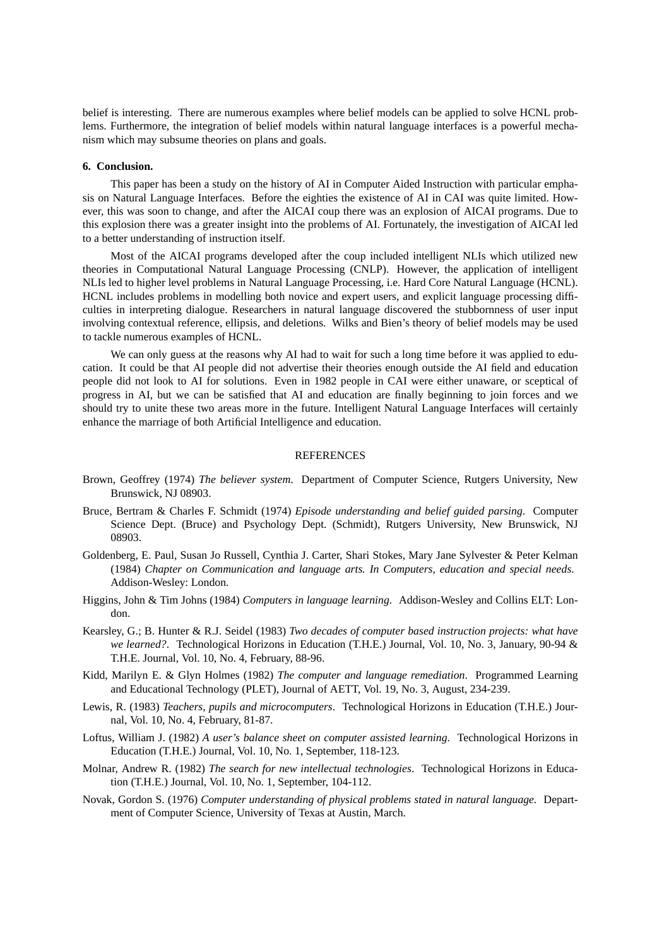belief is interesting. There are numerous examples where belief models can be applied to solve HCNL problems. Furthermore, the integration of belief models within natural language interfaces is a powerful mechanism which may subsume theories on plans and goals.

### **6. Conclusion.**

This paper has been a study on the history of AI in Computer Aided Instruction with particular emphasis on Natural Language Interfaces. Before the eighties the existence of AI in CAI was quite limited. However, this was soon to change, and after the AICAI coup there was an explosion of AICAI programs. Due to this explosion there was a greater insight into the problems of AI. Fortunately, the investigation of AICAI led to a better understanding of instruction itself.

Most of the AICAI programs developed after the coup included intelligent NLIs which utilized new theories in Computational Natural Language Processing (CNLP). However, the application of intelligent NLIs led to higher level problems in Natural Language Processing, i.e. Hard Core Natural Language (HCNL). HCNL includes problems in modelling both novice and expert users, and explicit language processing difficulties in interpreting dialogue. Researchers in natural language discovered the stubbornness of user input involving contextual reference, ellipsis, and deletions. Wilks and Bien's theory of belief models may be used to tackle numerous examples of HCNL.

We can only guess at the reasons why AI had to wait for such a long time before it was applied to education. It could be that AI people did not advertise their theories enough outside the AI field and education people did not look to AI for solutions. Even in 1982 people in CAI were either unaware, or sceptical of progress in AI, but we can be satisfied that AI and education are finally beginning to join forces and we should try to unite these two areas more in the future. Intelligent Natural Language Interfaces will certainly enhance the marriage of both Artificial Intelligence and education.

#### REFERENCES

- Brown, Geoffrey (1974) *The believer system*. Department of Computer Science, Rutgers University, New Brunswick, NJ 08903.
- Bruce, Bertram & Charles F. Schmidt (1974) *Episode understanding and belief guided parsing*. Computer Science Dept. (Bruce) and Psychology Dept. (Schmidt), Rutgers University, New Brunswick, NJ 08903.
- Goldenberg, E. Paul, Susan Jo Russell, Cynthia J. Carter, Shari Stokes, Mary Jane Sylvester & Peter Kelman (1984) *Chapter on Communication and language arts. In Computers, education and special needs*. Addison-Wesley: London.
- Higgins, John & Tim Johns (1984) *Computers in language learning*. Addison-Wesley and Collins ELT: London.
- Kearsley, G.; B. Hunter & R.J. Seidel (1983) *Two decades of computer based instruction projects: what have we learned?*. Technological Horizons in Education (T.H.E.) Journal, Vol. 10, No. 3, January, 90-94 & T.H.E. Journal, Vol. 10, No. 4, February, 88-96.
- Kidd, Marilyn E. & Glyn Holmes (1982) *The computer and language remediation*. Programmed Learning and Educational Technology (PLET), Journal of AETT, Vol. 19, No. 3, August, 234-239.
- Lewis, R. (1983) *Teachers, pupils and microcomputers*. Technological Horizons in Education (T.H.E.) Journal, Vol. 10, No. 4, February, 81-87.
- Loftus, William J. (1982) *A user's balance sheet on computer assisted learning*. Technological Horizons in Education (T.H.E.) Journal, Vol. 10, No. 1, September, 118-123.
- Molnar, Andrew R. (1982) *The search for new intellectual technologies*. Technological Horizons in Education (T.H.E.) Journal, Vol. 10, No. 1, September, 104-112.
- Novak, Gordon S. (1976) *Computer understanding of physical problems stated in natural language*. Department of Computer Science, University of Texas at Austin, March.